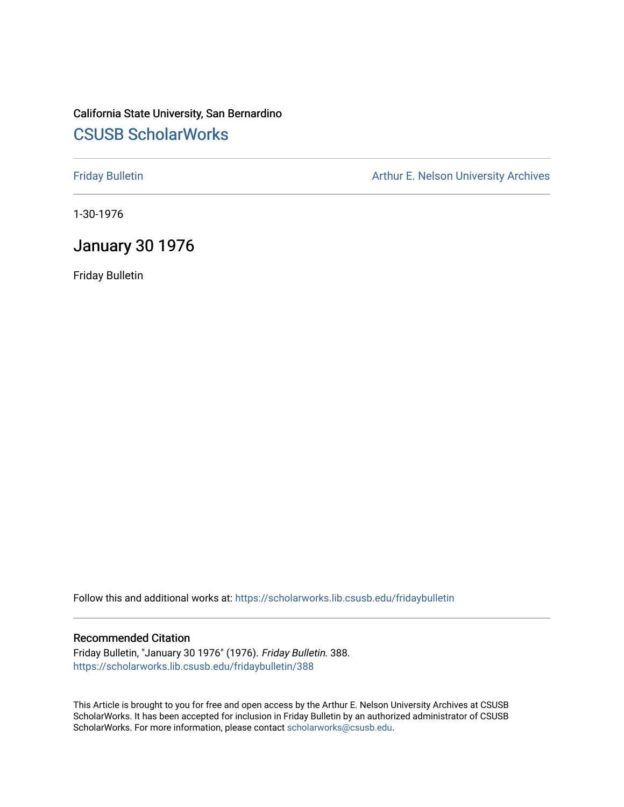## California State University, San Bernardino [CSUSB ScholarWorks](https://scholarworks.lib.csusb.edu/)

[Friday Bulletin](https://scholarworks.lib.csusb.edu/fridaybulletin) **Arthur E. Nelson University Archives** Arthur E. Nelson University Archives

1-30-1976

## January 30 1976

Friday Bulletin

Follow this and additional works at: [https://scholarworks.lib.csusb.edu/fridaybulletin](https://scholarworks.lib.csusb.edu/fridaybulletin?utm_source=scholarworks.lib.csusb.edu%2Ffridaybulletin%2F388&utm_medium=PDF&utm_campaign=PDFCoverPages)

#### Recommended Citation

Friday Bulletin, "January 30 1976" (1976). Friday Bulletin. 388. [https://scholarworks.lib.csusb.edu/fridaybulletin/388](https://scholarworks.lib.csusb.edu/fridaybulletin/388?utm_source=scholarworks.lib.csusb.edu%2Ffridaybulletin%2F388&utm_medium=PDF&utm_campaign=PDFCoverPages)

This Article is brought to you for free and open access by the Arthur E. Nelson University Archives at CSUSB ScholarWorks. It has been accepted for inclusion in Friday Bulletin by an authorized administrator of CSUSB ScholarWorks. For more information, please contact [scholarworks@csusb.edu.](mailto:scholarworks@csusb.edu)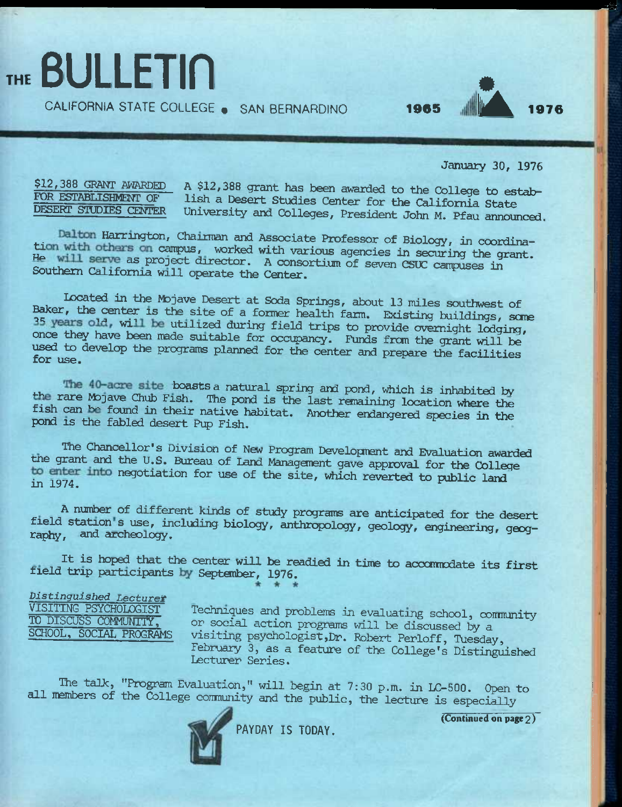# THE BULLETIN

CALIFORNIA STATE COLLEGE • SAN BERNARDINO **<sup>1965</sup>**



January 30, 1976

\$12,388 GRANT AWARDED FOR ESTABLISHMEM' OF DESERT STODIES CENTER

A \$12,388 grant has been awarded to the College to establish a Desert Studies Center for the California State University and Colleges, President John M. Pfau announced.

Dalton Harrington, Chairman and Associate Professor of Biology, in coordination with others on campus, worked with various agencies in securing the grant. He will serve as project director. A consortium of seven CSUC campuses in Southern California will operate the Center.

Located in the Mojave Desert at Soda Springs, about 13 miles southwest of Baker, the center is the site of a former health farm. Existing buildings, some Baker, the center is the site of a former health farm. Existing buildings, some 35 years old, will be utilized during field trips to provide overnight lodging, once they have been made suitable for occupancy. Funds from th once they have been made suitable for occupancy. Funds from the grant will be used to develop the programs planned for the center and prepare the facilities for use.

The 40-acre site boasts a natural spring and pond, which is inhabited by the rare Mojave Chub Fish. The pond is the last remaining location where the fish can be found in their native habitat. Another endangered species in the pond is the fabled desert Pup Fish.

The Chancellor's Division of New Program Development and Evaluation awarded the grant and the U.S. Bureau of Land Management gave approval for the College to enter into negotiation for use of the site, which reverted to public land<br>in 1974.

A number of different kinds of study programs are anticipated for the desert field station's use, including biology, anthropology, geology, engineering, geography, and  $\arctan y$ .  $\arctan y$  is  $\arctan y$ ,  $\arctan y$ ,  $\arctan y$ ,  $\arctan y$ ,  $\arctan y$ ,  $\arctan y$ .

It is hoped that the center will be readied in time to accommodate its first field trip participants by September, 1976.

*Distinguished Lectured*  VISITING PSYCHOLOGIST TO DISCUSS COMMUNITY, SCHOOL, SOCIAL PROGRAMS

Techniques and problems in evaluating school, conmunity or social action programs will be discussed ty a visiting psychologist,Dr. Robert Perloff, Tuesday, February 3, as a feature of the College's Distinguished Lecturer Series.

The talk, "Program Evaluation," will begin at 7:30 p.m. in LC-500. Open to all members of the College conmunity and the public, the lecture is especially



**PAYDAY IS TODAY.** 

(Continued on page 2)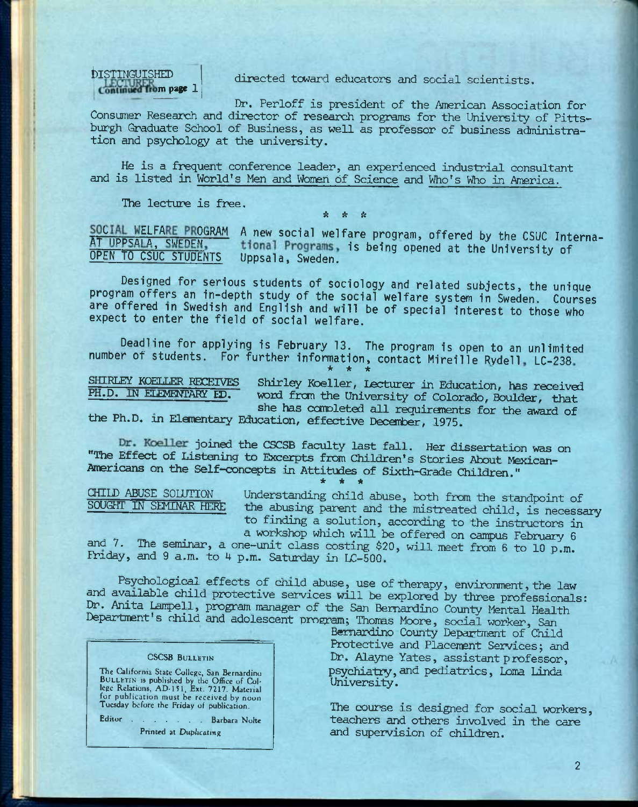biSTINGUISHED Continued from page 1

directed toward educators and social scientists.

Dr. Perloff is president of the American Association for Consumer Research and director of research programs for the University of Pittsburgh Graduate School of Business, as well as professor of business administration and psychology at the university.

He is a frequent conference leader, an experienced industrial consultant and is listed in World's Men and Women of Science and Who's Who in America.

The lecture is free,

## **SOCIAL WELFARE PROGRAM** A new social welfare program, offered by the CSUC Interna-<br>AT UPPSALA, SWEDEN, tional Programs, is being opened at the University of AT UPPSALA, SWEDEN, tional Programs, is being opened at the University of OPEN TO CSUC STUDENTS Uppsala, Sweden.

 $\star$   $\star$   $\star$ 

**Designed for serious students of sociology and related subjects, the unique program offers an in-depth study of the social welfare system in Sweden. Courses are offered in Swedish and English and will be of special interest to those who expect to enter the field of social welfare.** 

**Deadline for applying is February 13. The program is open to an unlimited number of students. For further information, contact Mireille Rvdell LC-238 \* \* \*** 

SHIRLEY KOELLER RECEIVES Shirley Koeller, Lecturer in Education, has received<br>PH.D. IN ELEMENTARY ED. word from the University of Colorado Boulder, that word from the University of Colorado, Boulder, that she has completed all requirements for the award of the Ph.D. in Elementary Education, effective December, 1975.

Dr. Koeller joined the CSCSB faculty last fall. Her dissertation was on "The Effect of Listening to Excerpts from Children's Stories About Mexican-Americans on the Self-concepts in Attitudes of Sixth-Qrade Children." **\* \* \*** 

CHILD ABUSE SOLUTION Understanding child abuse, both from the standpoint of<br>SOUGHI IN SEMINAR HERE the abusing parent and the mistreated child is research the abusing parent and the mistreated child, is necessary to finding a solution, according to the instructors in a workshop which will be offered on campus February 6

and 7. The seminar, a one-unit class costing \$20, will meet from 6 to 10 p.m. Friday, and 9 a.m. to 4 p.m. Saturday in LC-500.

Psychological effects of child abuse, use of therapy, environment, the law and available child protective services will be explored by three professionals: Dr. Anita Lampell, program manager of the San Bernardino County Mental Health Department's child and adolescent program; Thomas Moore, social worker, San

#### **CSCSB B**ULLETIN

The California State College, San Bernardino BULLETIN is published by the Office of Col-<br>lege Relations, AD-151, Ext. 7217. Material for publication must be received by noon Tuesday before the Friday of publication.

Editor . . . . . Barbara Nolte Printed at Duplicating

Bernardino County Department of Child Protective and Placement Services; and Dr. Alayne Yates, assistant professor, psychiatry, and pediatrics, Loma Linda University.

The course is designed for social workers, teachers and others involved in the care and supervision of children.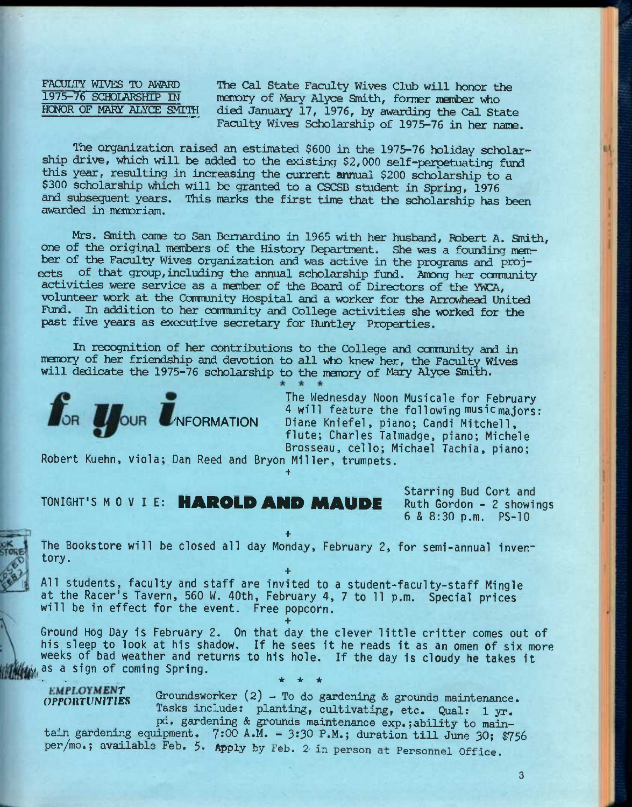FACULTY WIVES TO AWARD The Cal State Faculty Wives Club will honor the 1975-76 SCHOLARSHIP IN memory of Mary Alvee Smith, former member who 1975-76 SCHOLARSHIP IN memory of Mary Alyce Smith, former member who<br>HONOR OF MARY ALYCE SMITH died January 17. 1976, by awarding the Cal Sta died January 17, 1976, by awarding the Cal State Faculty Wives Scholarship of 1975-76 in her name.

The organization raised an estimated \$600 in the 1975-76 holiday scholarship drive, which will be added to the existing \$2,000 self-perpetuating fund this year, resulting in increasing the current annual \$200 scholarship to a \$300 scholarship vhich will be granted to a CSCSB student in Spring, 1976 and subsequent years. This marks the first time that the scholarship has been awarded in memoriam.

Mrs. Smith came to San Bernardino in 1965 with her husband, Robert A. Smith, one of the original members of the History Department. She was a founding member of the Faculty Wives organization and was active in the programs and projects of that group, including the annual scholarship fund. Among her community activities were service as a manber of the Board of Directors of the YWCA, volunteer work at the Community Hospital and a worker for the Arrowhead United Fund, In addition to her canminity and College activities she worked for the past five years as executive secretary for Huntley Properties.

In recognition of her contributions to the College and community and in memory of her friendship and devotion to all who knew her, the Faculty Wives will dedicate the 1975-76 scholarship to the memory of Mary Alyce Smith.



**The Wednesday Noon Musicale for February**  4 will feature the following music majors: **THEOREM IS A WILL ARE ARREST AND HEADLESS AND THE COLLUMN PUSIC MICHAEL AND ARREST AND ARREST ALL MICHAEL AND MICHAEL MICHAEL MICHAEL MICHAEL MICHAEL MICHAEL MICHAEL MICHAEL MICHAEL MICHAEL MICHAEL MICHAEL MICHAEL MICHAEL flute; Charles Talmadge, piano; Michele Brosseau, cello; Michael Tachia, piano;** 

**Robert Kuehn, viola; Dan Reed and Bryon Miller, trumpets.** 

**TONIGHT'S MOVIE: HAROLD AND MAUDE Ruth Gordon - 2 showings** 

**Starring Bud Cort and 6 & 8:30 p.m. PS-10** 

3

**+ The Bookstore will be closed all day Monday, February 2, for semi-annual inventory. +** 

**+** 

**All students, faculty and staff are invited to a student-faculty-staff Mingle at the Racer's Tavern, 560 W. 40th, February 4, 7 to 11 p.m. Special prices will be in effect for the event. Free popcorn.** 

**Ground Hog Day is February 2. On that day the clever little critter comes out of his sleep to look at his shadow. If he sees it he reads it as an omen of six more weeks of bad weather and returns to his hole. If the day is cloudy he takes it w as a sign of coming Spring.**   $\star$   $\star$   $\star$   $\star$ 

**+** 

**EMPLOYMENT** Groundsworker  $(2)$  - To do gardening & grounds maintenance. Tasks include: planting, cultivating, etc. Qual: 1 yr. pd. gardening & grounds maintenance exp.jability to main-

tain gardening equipment, 7:00 A.M. - 3:30 P.M.; duration till June 30; \$756 per/mo.; available Feb. 5. Apply by Feb. 2 in person at Personnel Office.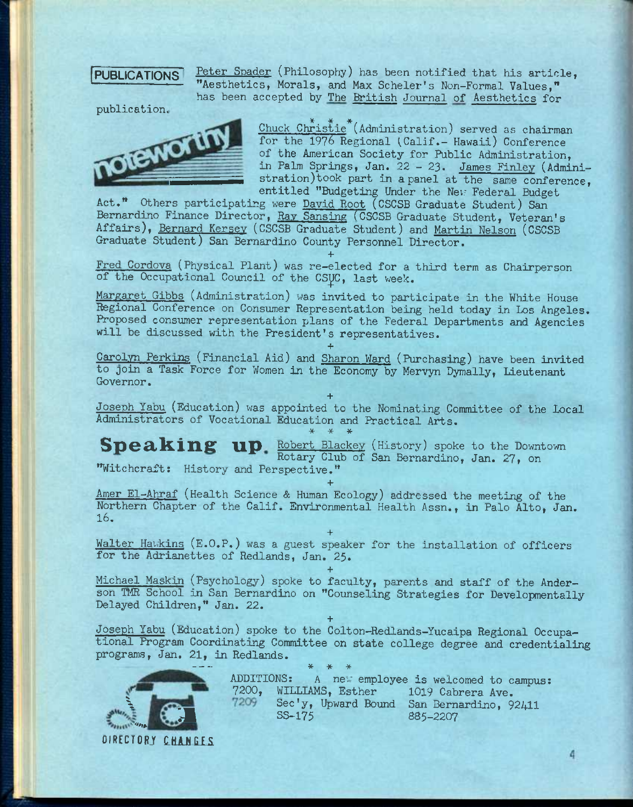**PUBLICATIONS** 

Peter Spader (Philosophy) has been notified that his article, "Aesthetics, Morals, and Max Scheler's Non-Formal Values," has been accepted by The British Journal of Aesthetics for

publication.



 $Chuck Ch<sup>*</sup>is<sup>*</sup>ie<sup>*</sup> (Administribution)$  served as chairman for the 1976 Regional (Calif.- Hawaii) Conference of the American Society for Public Administration, in Palm Springs, Jan. 22 - 23. James Finley (Administration)took part in a panel at the same conference, entitled "Budgeting Under the New Federal Budget

Act." Others participating were David Root (CSCSB Graduate Student) San Bernardino Finance Director, Ray Sansing (CSCSB Graduate Student, Veteran's Affairs), Bernard Kersey (CSCSB Graduate Student) and Martin Nelson (CSCSB Graduate Student) San Bernardino County Personnel Director.

**+**  Fred Cordova (Physical Plant) was re—elected for a third term as Chairperson of the Occupational Council of the CSVC, last week.

Margaret Gibbs (Administration) was invited to participate in the White House Regional Conference on Consumer Representation being held today in Los Angeles. Proposed consumer representation plans of the Federal Departments and Agencies will be discussed with the President's representatives.

**+**  Carolyn Perkins (Financial Aid) and Sharon Ward (Purchasing) have been invited to join a Task Force for Women in the Economy by Mervyn Dymally, Lieutenant Governor.

**+**  Joseph Yabu (Education) was appointed to the Nominating Committee of the Local Administrators of Vocational Education and Practical Arts. \* \* \*

Speaking up Robert Blackey (History) spoke to the Downtown Rotary Club of San Bernardino, Jan. 27, on

"Witchcraft; History and Perspective."

**+**  Amer El-Ahraf (Health Science & Human Ecology) addressed the meeting of the Northern Chapter of the Calif. Environmental Health Assn., in Palo Alto, Jan. 16,

**+**  Walter Hawkins (E.O.P.) was a guest speaker for the installation of officers for the Adrianettes of Redlands, Jan. 25.

*+*  Michael Maskin (Psychology) spoke to faculty, parents and staff of the Anderson TMR School in San Bernardino on "Counseling Strategies for Developmentally Delayed Children," Jan. 22.

**+**  Joseph Yabu (Education) spoke to the Golton-Redlands-Yucaipa Regional Occupational Program Coordinating Committee on state college degree and credentialing programs, Jan. 21, in Redlands. \* \* \*



ADDITIONS: A new employee is welcomed to campus:<br>7200, WILLIAMS, Esther 1019 Cabrera Ave. 7200, WILLIAMS, Esther<br>7209 Sec'v. Upward Bou (2009) Sec'y, Upward Bound San Bernardino, 92411 <br>
SS-175 885-2207